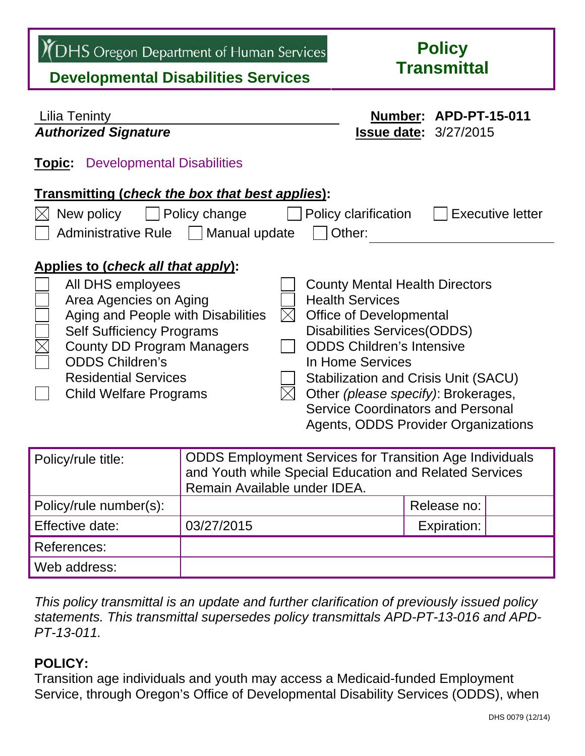TRANS Oregon Department of Human Services<br>
Developmental Disabilities Services<br>
Developmental Disabilities Services

| <b>Lilia Teninty</b>                                                                                                                                                                                                                                                                                                                                                                                                                                                                                                                                                                                                                                                            |                                                                                                                                                          | Number: APD-PT-15-011 |                              |  |  |
|---------------------------------------------------------------------------------------------------------------------------------------------------------------------------------------------------------------------------------------------------------------------------------------------------------------------------------------------------------------------------------------------------------------------------------------------------------------------------------------------------------------------------------------------------------------------------------------------------------------------------------------------------------------------------------|----------------------------------------------------------------------------------------------------------------------------------------------------------|-----------------------|------------------------------|--|--|
| <b>Authorized Signature</b>                                                                                                                                                                                                                                                                                                                                                                                                                                                                                                                                                                                                                                                     |                                                                                                                                                          |                       | <b>Issue date: 3/27/2015</b> |  |  |
| <b>Topic</b> Developmental Disabilities<br>Transmitting (check the box that best applies):<br>New policy<br>Policy change<br><b>Executive letter</b><br>Policy clarification<br>Administrative Rule   Manual update<br>Other:                                                                                                                                                                                                                                                                                                                                                                                                                                                   |                                                                                                                                                          |                       |                              |  |  |
| Applies to (check all that apply):<br>All DHS employees<br><b>County Mental Health Directors</b><br>Area Agencies on Aging<br><b>Health Services</b><br>Aging and People with Disabilities<br><b>Office of Developmental</b><br>$\boxtimes$<br><b>Disabilities Services (ODDS)</b><br><b>Self Sufficiency Programs</b><br><b>ODDS Children's Intensive</b><br><b>County DD Program Managers</b><br><b>ODDS Children's</b><br>In Home Services<br><b>Residential Services</b><br>Stabilization and Crisis Unit (SACU)<br>Other (please specify): Brokerages,<br><b>Child Welfare Programs</b><br><b>Service Coordinators and Personal</b><br>Agents, ODDS Provider Organizations |                                                                                                                                                          |                       |                              |  |  |
| Policy/rule title:                                                                                                                                                                                                                                                                                                                                                                                                                                                                                                                                                                                                                                                              | <b>ODDS Employment Services for Transition Age Individuals</b><br>and Youth while Special Education and Related Services<br>Remain Available under IDEA. |                       |                              |  |  |
| Policy/rule number(s):                                                                                                                                                                                                                                                                                                                                                                                                                                                                                                                                                                                                                                                          |                                                                                                                                                          |                       | Release no:                  |  |  |
| Effective date:                                                                                                                                                                                                                                                                                                                                                                                                                                                                                                                                                                                                                                                                 | 03/27/2015                                                                                                                                               |                       | Expiration:                  |  |  |
| <b>References:</b>                                                                                                                                                                                                                                                                                                                                                                                                                                                                                                                                                                                                                                                              |                                                                                                                                                          |                       |                              |  |  |

*This policy transmittal is an update and further clarification of previously issued policy statements. This transmittal supersedes policy transmittals APD-PT-13-016 and APD-PT-13-011.*

# **POLICY:**

Web address:

Transition age individuals and youth may access a Medicaid-funded Employment Service, through Oregon's Office of Developmental Disability Services (ODDS), when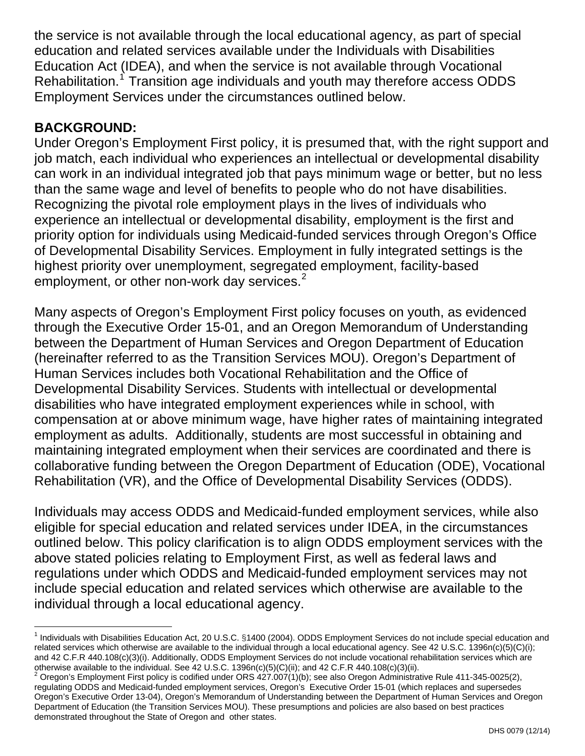the service is not available through the local educational agency, as part of special education and related services available under the Individuals with Disabilities Education Act (IDEA), and when the service is not available through Vocational Rehabilitation.<sup>[1](#page-1-0)</sup> Transition age individuals and youth may therefore access ODDS Employment Services under the circumstances outlined below.

## **BACKGROUND:**

Under Oregon's Employment First policy, it is presumed that, with the right support and job match, each individual who experiences an intellectual or developmental disability can work in an individual integrated job that pays minimum wage or better, but no less than the same wage and level of benefits to people who do not have disabilities. Recognizing the pivotal role employment plays in the lives of individuals who experience an intellectual or developmental disability, employment is the first and priority option for individuals using Medicaid-funded services through Oregon's Office of Developmental Disability Services. Employment in fully integrated settings is the highest priority over unemployment, segregat[ed](#page-1-1) employment, facility-based employment, or other non-work day services.<sup>[2](#page-1-1)</sup>

Many aspects of Oregon's Employment First policy focuses on youth, as evidenced through the Executive Order 15-01, and an Oregon Memorandum of Understanding between the Department of Human Services and Oregon Department of Education (hereinafter referred to as the Transition Services MOU). Oregon's Department of Human Services includes both Vocational Rehabilitation and the Office of Developmental Disability Services. Students with intellectual or developmental disabilities who have integrated employment experiences while in school, with compensation at or above minimum wage, have higher rates of maintaining integrated employment as adults. Additionally, students are most successful in obtaining and maintaining integrated employment when their services are coordinated and there is collaborative funding between the Oregon Department of Education (ODE), Vocational Rehabilitation (VR), and the Office of Developmental Disability Services (ODDS).

Individuals may access ODDS and Medicaid-funded employment services, while also eligible for special education and related services under IDEA, in the circumstances outlined below. This policy clarification is to align ODDS employment services with the above stated policies relating to Employment First, as well as federal laws and regulations under which ODDS and Medicaid-funded employment services may not include special education and related services which otherwise are available to the individual through a local educational agency.

<span id="page-1-0"></span>l <sup>1</sup> Individuals with Disabilities Education Act, 20 U.S.C. §1400 (2004). ODDS Employment Services do not include special education and related services which otherwise are available to the individual through a local educational agency. See 42 U.S.C. 1396n(c)(5)(C)(i); and 42 C.F.R 440.108(c)(3)(i). Additionally, ODDS Employment Services do not include vocational rehabilitation services which are otherwise available to the individual. See 42 U.S.C. 1396n(c)(5)(C)(ii); and 42 C.F.R 440.108(c)(3)(ii).

<span id="page-1-1"></span> $2$  Oregon's Employment First policy is codified under ORS  $427.007(1)(b)$ ; see also Oregon Administrative Rule 411-345-0025(2), regulating ODDS and Medicaid-funded employment services, Oregon's Executive Order 15-01 (which replaces and supersedes Oregon's Executive Order 13-04), Oregon's Memorandum of Understanding between the Department of Human Services and Oregon Department of Education (the Transition Services MOU). These presumptions and policies are also based on best practices demonstrated throughout the State of Oregon and other states.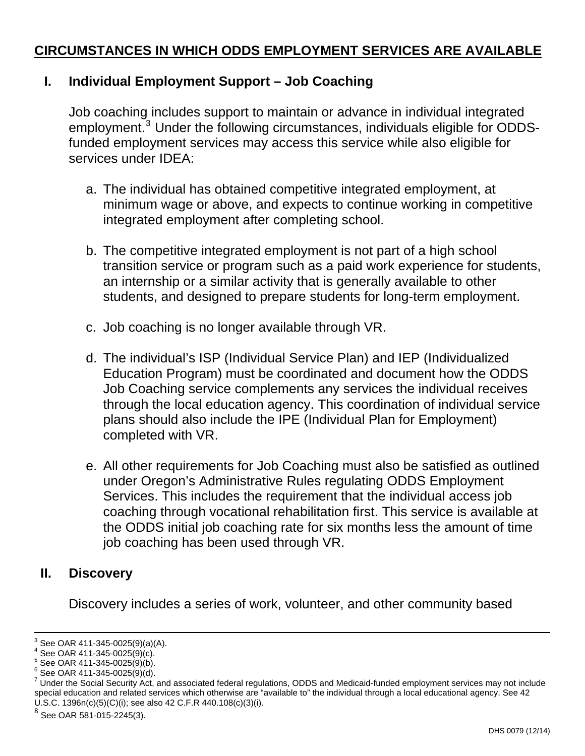## **CIRCUMSTANCES IN WHICH ODDS EMPLOYMENT SERVICES ARE AVAILABLE**

### **I. Individual Employment Support – Job Coaching**

Job coaching includes support to maintain or advance in individual integrated employment.<sup>[3](#page-2-0)</sup> Under the following circumstances, individuals eligible for ODDSfunded employment services may access this service while also eligible for services under IDEA:

- a. The individual has obtained competitive integrated employment, at minimum wage or above, and expects to continue working in competitive integrated employment after completing school.
- b. The competitive integrated employment is not part of a high school transition service or program such as a paid work experience for students, an internship or a similar activity that is generally available to other students, and designed to prepare students for long-term employment.
- c. Job coaching is no longer available through VR.
- d. The individual's ISP (Individual Service Plan) and IEP (Individualized Education Program) must be coordinated and document how the ODDS Job Coaching service complements any services the individual receives through the local education agency. This coordination of individual service plans should also include the IPE (Individual Plan for Employment) completed with VR.
- e. All other requirements for Job Coaching must also be satisfied as outlined under Oregon's Administrative Rules regulating ODDS Employment Services. This includes the requirement that the individual access job coaching through vocational rehabilitation first. This service is available at the ODDS initial job coaching rate for six months less the amount of time job coaching has been used through VR.

#### **II. Discovery**

-

Discovery includes a series of work, volunteer, and other community based

<span id="page-2-0"></span><sup>3</sup> See OAR 411-345-0025(9)(a)(A).

 $4$  See OAR 411-345-0025(9)(c).

 $^5$  See OAR 411-345-0025(9)(b).

 $6$  See OAR 411-345-0025(9)(d).

 $^7$  Under the Social Security Act, and associated federal regulations, ODDS and Medicaid-funded employment services may not include special education and related services which otherwise are "available to" the individual through a local educational agency. See 42 U.S.C. 1396n(c)(5)(C)(i); see also 42 C.F.R 440.108(c)(3)(i).

See OAR 581-015-2245(3).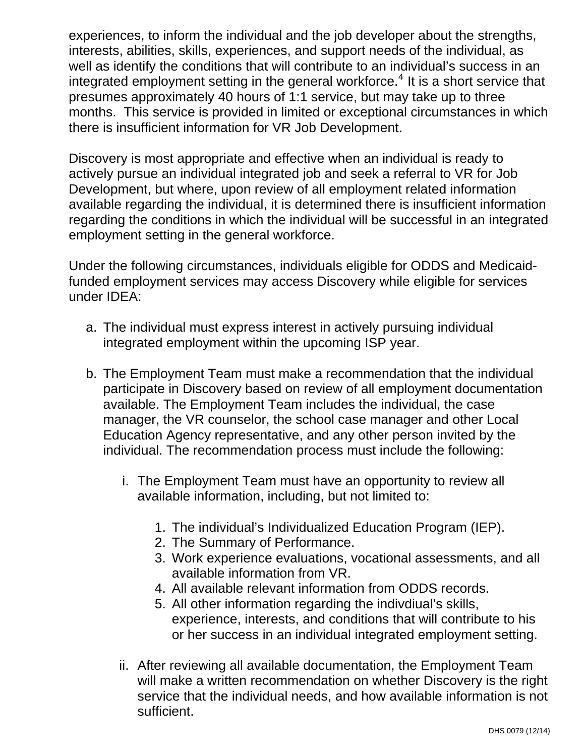experiences, to inform the individual and the job developer about the strengths, interests, abilities, skills, experiences, and support needs of the individual, as well as identify the conditions that will contribute to an individual's success in an integrated employment setting in the general workforce.<sup>[4](#page-3-0)</sup> It is a short service that presumes approximately 40 hours of 1:1 service, but may take up to three months. This service is provided in limited or exceptional circumstances in which there is insufficient information for VR Job Development.

Discovery is most appropriate and effective when an individual is ready to actively pursue an individual integrated job and seek a referral to VR for Job Development, but where, upon review of all employment related information available regarding the individual, it is determined there is insufficient information regarding the conditions in which the individual will be successful in an integrated employment setting in the general workforce.

Under the following circumstances, individuals eligible for ODDS and Medicaidfunded employment services may access Discovery while eligible for services under IDEA:

- a. The individual must express interest in actively pursuing individual integrated employment within the upcoming ISP year.
- <span id="page-3-0"></span>b. The Employment Team must make a recommendation that the individual participate in Discovery based on review of all employment documentation available. The Employment Team includes the individual, the case manager, the VR counselor, the school case manager and other Local Education Agency representative, and any other person invited by the individual. The recommendation process must include the following:
	- i. The Employment Team must have an opportunity to review all available information, including, but not limited to:
		- 1. The individual's Individualized Education Program (IEP).
		- 2. The Summary of Performance.
		- 3. Work experience evaluations, vocational assessments, and all available information from VR.
		- 4. All available relevant information from ODDS records.
		- 5. All other information regarding the indivdiual's skills, experience, interests, and conditions that will contribute to his or her success in an individual integrated employment setting.
	- ii. After reviewing all available documentation, the Employment Team will make a written recommendation on whether Discovery is the right service that the individual needs, and how available information is not sufficient.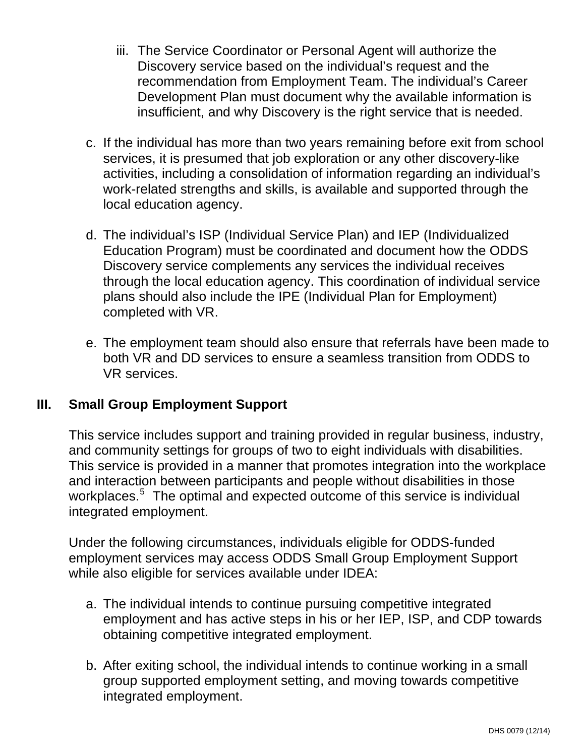- iii. The Service Coordinator or Personal Agent will authorize the Discovery service based on the individual's request and the recommendation from Employment Team. The individual's Career Development Plan must document why the available information is insufficient, and why Discovery is the right service that is needed.
- c. If the individual has more than two years remaining before exit from school services, it is presumed that job exploration or any other discovery-like activities, including a consolidation of information regarding an individual's work-related strengths and skills, is available and supported through the local education agency.
- d. The individual's ISP (Individual Service Plan) and IEP (Individualized Education Program) must be coordinated and document how the ODDS Discovery service complements any services the individual receives through the local education agency. This coordination of individual service plans should also include the IPE (Individual Plan for Employment) completed with VR.
- e. The employment team should also ensure that referrals have been made to both VR and DD services to ensure a seamless transition from ODDS to VR services.

#### **III. Small Group Employment Support**

This service includes support and training provided in regular business, industry, and community settings for groups of two to eight individuals with disabilities. This service is provided in a manner that promotes integration into the workplace and interaction between participants and people without disabilities in those workplaces.<sup>[5](#page-4-0)</sup> The optimal and expected outcome of this service is individual integrated employment.

Under the following circumstances, individuals eligible for ODDS-funded employment services may access ODDS Small Group Employment Support while also eligible for services available under IDEA:

- a. The individual intends to continue pursuing competitive integrated employment and has active steps in his or her IEP, ISP, and CDP towards obtaining competitive integrated employment.
- <span id="page-4-0"></span>b. After exiting school, the individual intends to continue working in a small group supported employment setting, and moving towards competitive integrated employment.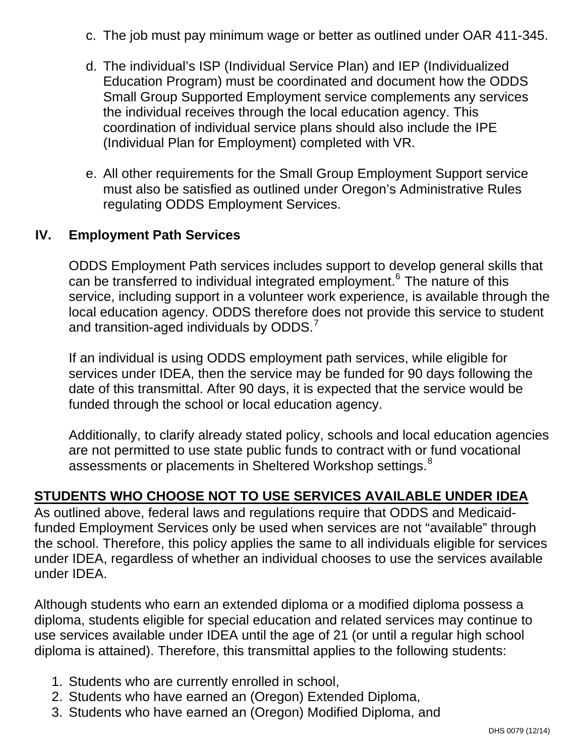- c. The job must pay minimum wage or better as outlined under OAR 411-345.
- d. The individual's ISP (Individual Service Plan) and IEP (Individualized Education Program) must be coordinated and document how the ODDS Small Group Supported Employment service complements any services the individual receives through the local education agency. This coordination of individual service plans should also include the IPE (Individual Plan for Employment) completed with VR.
- e. All other requirements for the Small Group Employment Support service must also be satisfied as outlined under Oregon's Administrative Rules regulating ODDS Employment Services.

#### **IV. Employment Path Services**

ODDS Employment Path services includes support to develop general skills that can be transferred to individual integrated employment.<sup>[6](#page-5-0)</sup> The nature of this service, including support in a volunteer work experience, is available through the local education agency. ODDS therefore does not provide this service to student and transition-aged individuals by ODDS. $^7$  $^7$ 

If an individual is using ODDS employment path services, while eligible for services under IDEA, then the service may be funded for 90 days following the date of this transmittal. After 90 days, it is expected that the service would be funded through the school or local education agency.

Additionally, to clarify already stated policy, schools and local education agencies are not permitted to use state public funds to contract with or fund vocational assessments or placements in Sheltered Workshop settings.<sup>[8](#page-5-2)</sup>

#### **STUDENTS WHO CHOOSE NOT TO USE SERVICES AVAILABLE UNDER IDEA**

As outlined above, federal laws and regulations require that ODDS and Medicaidfunded Employment Services only be used when services are not "available" through the school. Therefore, this policy applies the same to all individuals eligible for services under IDEA, regardless of whether an individual chooses to use the services available under IDEA.

Although students who earn an extended diploma or a modified diploma possess a diploma, students eligible for special education and related services may continue to use services available under IDEA until the age of 21 (or until a regular high school diploma is attained). Therefore, this transmittal applies to the following students:

- <span id="page-5-0"></span>1. Students who are currently enrolled in school,
- <span id="page-5-1"></span>2. Students who have earned an (Oregon) Extended Diploma,
- <span id="page-5-2"></span>3. Students who have earned an (Oregon) Modified Diploma, and